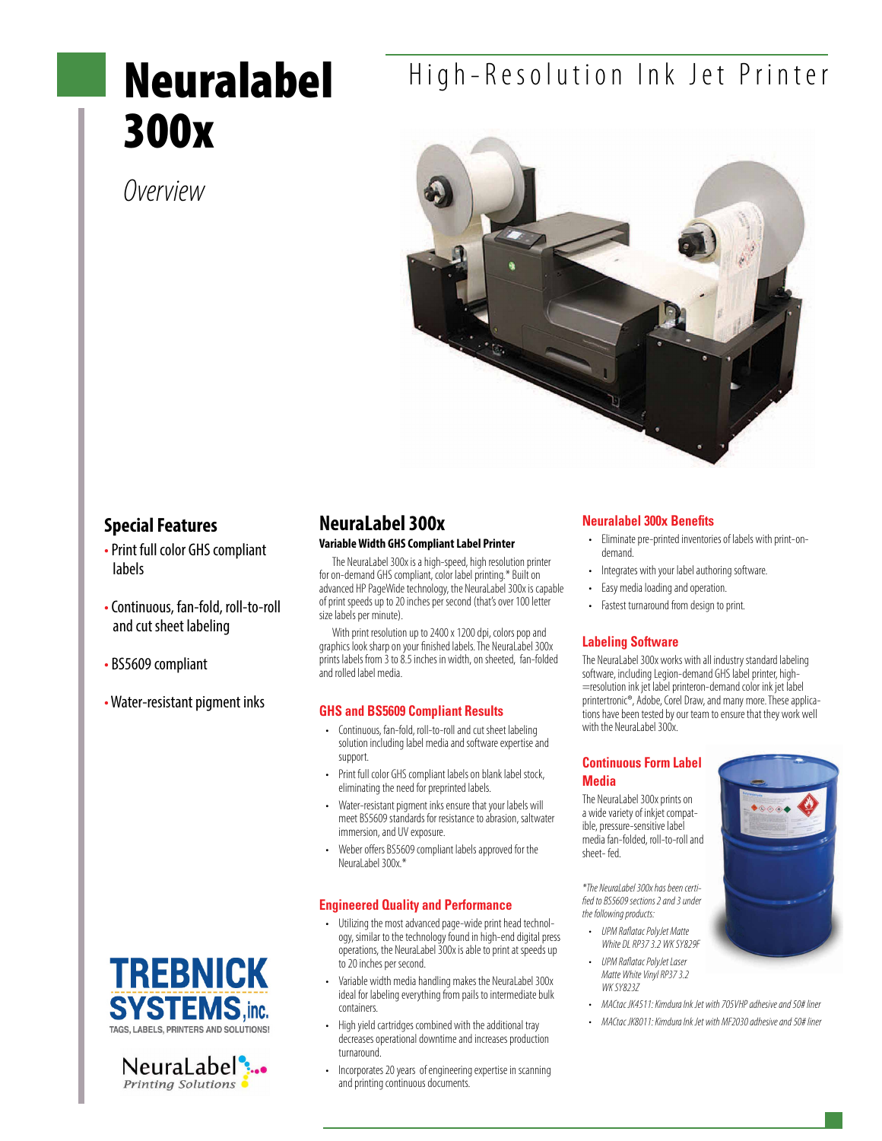# Neuralabel 300x

### *Overview*





#### **Special Features**

- Print full color GHS compliant labels
- Continuous, fan-fold, roll-to-roll and cut sheet labeling
- BS5609 compliant
- Water-resistant pigment inks





### **NeuraLabel 300x**

#### **Variable Width GHS Compliant Label Printer**

The NeuraLabel 300x is a high-speed, high resolution printer for on-demand GHS compliant, color label printing.\* Built on advanced HP PageWide technology, the NeuraLabel 300x is capable of print speeds up to 20 inches per second (that's over 100 letter size labels per minute).

With print resolution up to 2400 x 1200 dpi, colors pop and graphics look sharp on your finished labels. The NeuraLabel 300x prints labels from  $\frac{1}{3}$  to  $\frac{8}{5}$  inches in width, on sheeted, fan-folded and rolled label media.

#### **GHS and BS5609 Compliant Results**

- • Continuous, fan-fold, roll-to-roll and cut sheet labeling solution including label media and software expertise and support.
- Print full color GHS compliant labels on blank label stock, eliminating the need for preprinted labels.
- Water-resistant pigment inks ensure that your labels will meet BS5609 standards for resistance to abrasion, saltwater immersion, and UV exposure.
- Weber offers BS5609 compliant labels approved for the NeuraLabel 300x.\*

#### **Engineered Quality and Performance**

- • Utilizing the most advanced page-wide print head technology, similar to the technology found in high-end digital press operations, the NeuraLabel 300x is able to print at speeds up to 20 inches per second.
- Variable width media handling makes the NeuraLabel 300x ideal for labeling everything from pails to intermediate bulk containers.
- • High yield cartridges combined with the additional tray decreases operational downtime and increases production turnaround.
- Incorporates 20 years of engineering expertise in scanning and printing continuous documents.

#### **Neuralabel 300x Benefits**

- • Eliminate pre-printed inventories of labels with print-ondemand.
- Integrates with your label authoring software.
- Easy media loading and operation.
- • Fastest turnaround from design to print.

#### **Labeling Software**

The NeuraLabel 300x works with all industry standard labeling software, including Legion-demand GHS label printer, high- =resolution ink jet label printeron-demand color ink jet label printertronic®, Adobe, Corel Draw, and many more. These applications have been tested by our team to ensure that they work well with the NeuraLabel 300x.

#### **Continuous Form Label Media**

The NeuraLabel 300x prints on a wide variety of inkjet compatible, pressure-sensitive label media fan-folded, roll-to-roll and sheet- fed.

*\*The NeuraLabel 300x has been certified to BS5609 sections 2 and 3 under the following products:*

- • *UPM Raflatac PolyJet Matte White DL RP37 3.2 WK SY829F*
- • *UPM Raflatac PolyJet Laser Matte White Vinyl RP37 3.2 WK SY823Z*
- • *MACtac JK4511: Kimdura Ink Jet with 705VHP adhesive and 50# liner*
- • *MACtac JK8011: Kimdura Ink Jet with MF2030 adhesive and 50# liner*